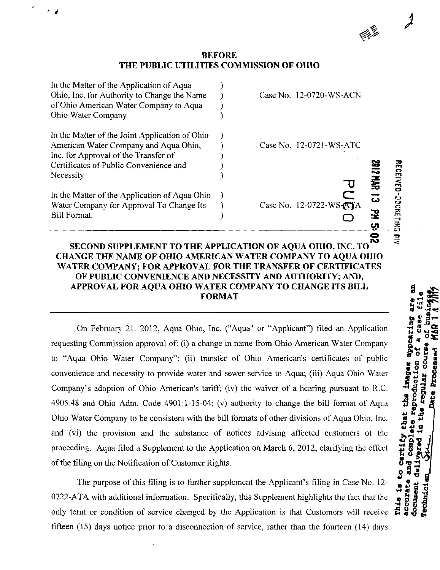## BEFORE THE PUBLIC UTILITIES COMMISSION OF OHIO

| In the Matter of the Application of Aqua Ohio<br>Water Company for Approval To Change Its<br><b>Bill Format.</b>                                                                       |  | Case No. 12-0722-WS-ATA | 葛<br>ឝ | <b>RECEIVED-DOCKETHNG</b> |
|----------------------------------------------------------------------------------------------------------------------------------------------------------------------------------------|--|-------------------------|--------|---------------------------|
| In the Matter of the Joint Application of Ohio<br>American Water Company and Aqua Ohio,<br>Inc. for Approval of the Transfer of<br>Certificates of Public Convenience and<br>Necessity |  | Case No. 12-0721-WS-ATC |        |                           |
| In the Matter of the Application of Aqua<br>Ohio, Inc. for Authority to Change the Name<br>of Ohio American Water Company to Aqua<br>Ohio Water Company                                |  | Case No. 12-0720-WS-ACN |        |                           |

## o SECOND SUPPLEMENT TO THE APPLICATION OF AQUA OHIO, INC. TO CHANGE THE NAME OF OHIO AMERICAN WATER COMPANY TO AQUA OHIO WATER COMPANY; FOR APPROVAL FOR THE TRANSFER OF CERTIFICATES OF PUBLIC CONVENIENCE AND NECESSITY AND AUTHORITY; AND, APPROVAL FOR AQUA OHIO WATER COMPANY TO CHANGE ITS BILL FORMAT

On February 21, 2012, Aqua Ohio, Inc. ("Aqua" or "Applicant") filed an Application requesting Commission approval of: (i) a change in name from Ohio American Water Company to "Aqua Ohio Water Company"; (ii) transfer of Ohio American's certificates of public convenience and necessity to provide water and sewer service to Aqua; (iii) Aqua Ohio Water Company's adoption of Ohio American's tariff; (iv) the waiver of a hearing pursuant to R.C. 4905.48 and Ohio Adm. Code 4901:1-15-04; (v) authority to change the bill format of Aqua Ohio Water Company to be consistent with the bill formats of other divisions of Aqua Ohio, Inc. and (vi) the provision and the substance of notices advising affected customers of the proceeding. Aqua filed a Supplement to the Application on March 6, 2012, clarifying the effect of the filing on the Notification of Customer Rights.

The purpose of this filing is to further supplement the Applicant's filing in Case No. 12- 0722-ATA with additional information. Specifically, this Supplement highlights the fact that the only term or condition of service changed by the Application is that Customers will receive fifteen (15) days notice prior to a disconnection of service, rather than the fourteen (14) days

**SEE**